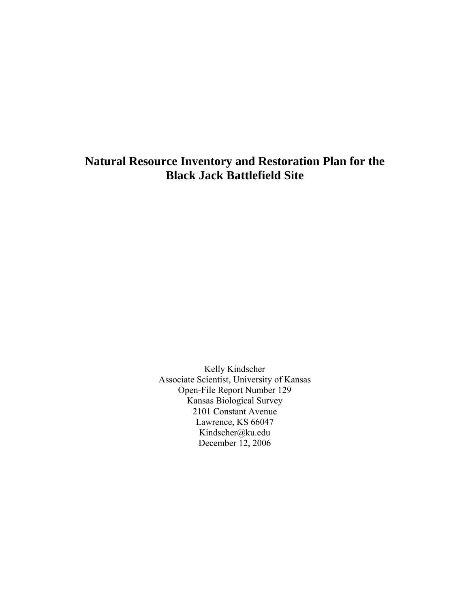# **Natural Resource Inventory and Restoration Plan for the Black Jack Battlefield Site**

Kelly Kindscher Associate Scientist, University of Kansas Open-File Report Number 129 Kansas Biological Survey 2101 Constant Avenue Lawrence, KS 66047 Kindscher@ku.edu December 12, 2006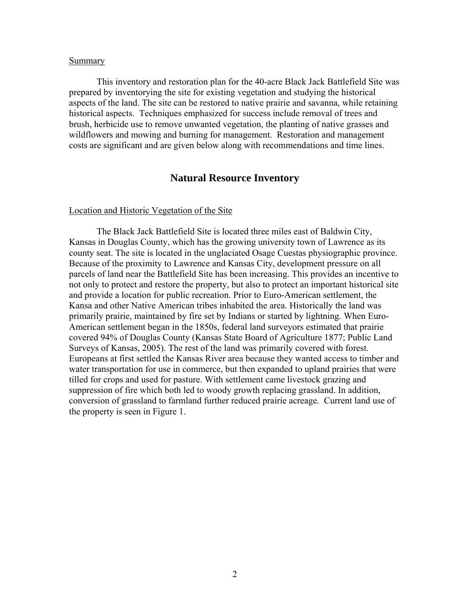#### **Summary**

 This inventory and restoration plan for the 40-acre Black Jack Battlefield Site was prepared by inventorying the site for existing vegetation and studying the historical aspects of the land. The site can be restored to native prairie and savanna, while retaining historical aspects. Techniques emphasized for success include removal of trees and brush, herbicide use to remove unwanted vegetation, the planting of native grasses and wildflowers and mowing and burning for management. Restoration and management costs are significant and are given below along with recommendations and time lines.

## **Natural Resource Inventory**

#### Location and Historic Vegetation of the Site

The Black Jack Battlefield Site is located three miles east of Baldwin City, Kansas in Douglas County, which has the growing university town of Lawrence as its county seat. The site is located in the unglaciated Osage Cuestas physiographic province. Because of the proximity to Lawrence and Kansas City, development pressure on all parcels of land near the Battlefield Site has been increasing. This provides an incentive to not only to protect and restore the property, but also to protect an important historical site and provide a location for public recreation. Prior to Euro-American settlement, the Kansa and other Native American tribes inhabited the area. Historically the land was primarily prairie, maintained by fire set by Indians or started by lightning. When Euro-American settlement began in the 1850s, federal land surveyors estimated that prairie covered 94% of Douglas County (Kansas State Board of Agriculture 1877; Public Land Surveys of Kansas, 2005). The rest of the land was primarily covered with forest. Europeans at first settled the Kansas River area because they wanted access to timber and water transportation for use in commerce, but then expanded to upland prairies that were tilled for crops and used for pasture. With settlement came livestock grazing and suppression of fire which both led to woody growth replacing grassland. In addition, conversion of grassland to farmland further reduced prairie acreage. Current land use of the property is seen in Figure 1.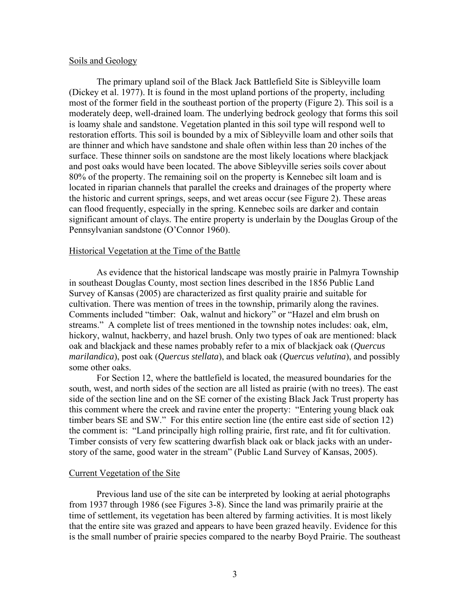#### Soils and Geology

 The primary upland soil of the Black Jack Battlefield Site is Sibleyville loam (Dickey et al. 1977). It is found in the most upland portions of the property, including most of the former field in the southeast portion of the property (Figure 2). This soil is a moderately deep, well-drained loam. The underlying bedrock geology that forms this soil is loamy shale and sandstone. Vegetation planted in this soil type will respond well to restoration efforts. This soil is bounded by a mix of Sibleyville loam and other soils that are thinner and which have sandstone and shale often within less than 20 inches of the surface. These thinner soils on sandstone are the most likely locations where blackjack and post oaks would have been located. The above Sibleyville series soils cover about 80% of the property. The remaining soil on the property is Kennebec silt loam and is located in riparian channels that parallel the creeks and drainages of the property where the historic and current springs, seeps, and wet areas occur (see Figure 2). These areas can flood frequently, especially in the spring. Kennebec soils are darker and contain significant amount of clays. The entire property is underlain by the Douglas Group of the Pennsylvanian sandstone (O'Connor 1960).

#### Historical Vegetation at the Time of the Battle

 As evidence that the historical landscape was mostly prairie in Palmyra Township in southeast Douglas County, most section lines described in the 1856 Public Land Survey of Kansas (2005) are characterized as first quality prairie and suitable for cultivation. There was mention of trees in the township, primarily along the ravines. Comments included "timber: Oak, walnut and hickory" or "Hazel and elm brush on streams." A complete list of trees mentioned in the township notes includes: oak, elm, hickory, walnut, hackberry, and hazel brush. Only two types of oak are mentioned: black oak and blackjack and these names probably refer to a mix of blackjack oak (*Quercus marilandica*), post oak (*Quercus stellata*), and black oak (*Quercus velutina*), and possibly some other oaks.

 For Section 12, where the battlefield is located, the measured boundaries for the south, west, and north sides of the section are all listed as prairie (with no trees). The east side of the section line and on the SE corner of the existing Black Jack Trust property has this comment where the creek and ravine enter the property: "Entering young black oak timber bears SE and SW." For this entire section line (the entire east side of section 12) the comment is: "Land principally high rolling prairie, first rate, and fit for cultivation. Timber consists of very few scattering dwarfish black oak or black jacks with an understory of the same, good water in the stream" (Public Land Survey of Kansas, 2005).

#### Current Vegetation of the Site

 Previous land use of the site can be interpreted by looking at aerial photographs from 1937 through 1986 (see Figures 3-8). Since the land was primarily prairie at the time of settlement, its vegetation has been altered by farming activities. It is most likely that the entire site was grazed and appears to have been grazed heavily. Evidence for this is the small number of prairie species compared to the nearby Boyd Prairie. The southeast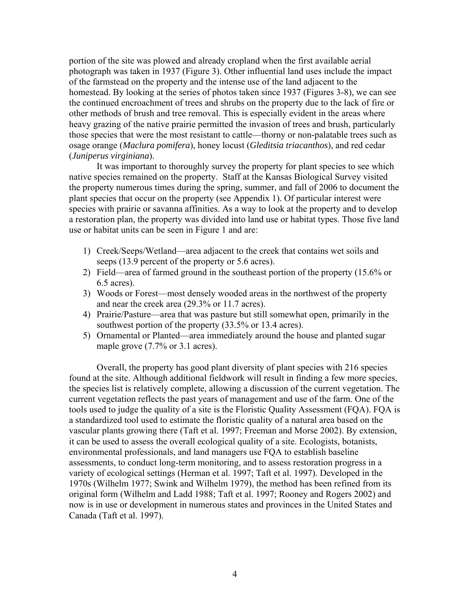portion of the site was plowed and already cropland when the first available aerial photograph was taken in 1937 (Figure 3). Other influential land uses include the impact of the farmstead on the property and the intense use of the land adjacent to the homestead. By looking at the series of photos taken since 1937 (Figures 3-8), we can see the continued encroachment of trees and shrubs on the property due to the lack of fire or other methods of brush and tree removal. This is especially evident in the areas where heavy grazing of the native prairie permitted the invasion of trees and brush, particularly those species that were the most resistant to cattle—thorny or non-palatable trees such as osage orange (*Maclura pomifera*), honey locust (*Gleditsia triacanthos*), and red cedar (*Juniperus virginiana*).

 It was important to thoroughly survey the property for plant species to see which native species remained on the property. Staff at the Kansas Biological Survey visited the property numerous times during the spring, summer, and fall of 2006 to document the plant species that occur on the property (see Appendix 1). Of particular interest were species with prairie or savanna affinities. As a way to look at the property and to develop a restoration plan, the property was divided into land use or habitat types. Those five land use or habitat units can be seen in Figure 1 and are:

- 1) Creek/Seeps/Wetland—area adjacent to the creek that contains wet soils and seeps (13.9 percent of the property or 5.6 acres).
- 2) Field—area of farmed ground in the southeast portion of the property (15.6% or 6.5 acres).
- 3) Woods or Forest—most densely wooded areas in the northwest of the property and near the creek area (29.3% or 11.7 acres).
- 4) Prairie/Pasture—area that was pasture but still somewhat open, primarily in the southwest portion of the property (33.5% or 13.4 acres).
- 5) Ornamental or Planted—area immediately around the house and planted sugar maple grove  $(7.7\% \text{ or } 3.1 \text{ acres})$ .

Overall, the property has good plant diversity of plant species with 216 species found at the site. Although additional fieldwork will result in finding a few more species, the species list is relatively complete, allowing a discussion of the current vegetation. The current vegetation reflects the past years of management and use of the farm. One of the tools used to judge the quality of a site is the Floristic Quality Assessment (FQA). FQA is a standardized tool used to estimate the floristic quality of a natural area based on the vascular plants growing there (Taft et al. 1997; Freeman and Morse 2002). By extension, it can be used to assess the overall ecological quality of a site. Ecologists, botanists, environmental professionals, and land managers use FQA to establish baseline assessments, to conduct long-term monitoring, and to assess restoration progress in a variety of ecological settings (Herman et al. 1997; Taft et al. 1997). Developed in the 1970s (Wilhelm 1977; Swink and Wilhelm 1979), the method has been refined from its original form (Wilhelm and Ladd 1988; Taft et al. 1997; Rooney and Rogers 2002) and now is in use or development in numerous states and provinces in the United States and Canada (Taft et al. 1997).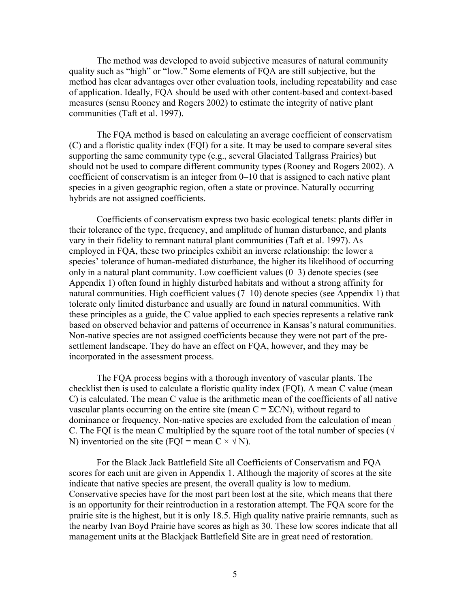The method was developed to avoid subjective measures of natural community quality such as "high" or "low." Some elements of FQA are still subjective, but the method has clear advantages over other evaluation tools, including repeatability and ease of application. Ideally, FQA should be used with other content-based and context-based measures (sensu Rooney and Rogers 2002) to estimate the integrity of native plant communities (Taft et al. 1997).

The FQA method is based on calculating an average coefficient of conservatism (C) and a floristic quality index (FQI) for a site. It may be used to compare several sites supporting the same community type (e.g., several Glaciated Tallgrass Prairies) but should not be used to compare different community types (Rooney and Rogers 2002). A coefficient of conservatism is an integer from 0–10 that is assigned to each native plant species in a given geographic region, often a state or province. Naturally occurring hybrids are not assigned coefficients.

Coefficients of conservatism express two basic ecological tenets: plants differ in their tolerance of the type, frequency, and amplitude of human disturbance, and plants vary in their fidelity to remnant natural plant communities (Taft et al. 1997). As employed in FQA, these two principles exhibit an inverse relationship: the lower a species' tolerance of human-mediated disturbance, the higher its likelihood of occurring only in a natural plant community. Low coefficient values (0–3) denote species (see Appendix 1) often found in highly disturbed habitats and without a strong affinity for natural communities. High coefficient values (7–10) denote species (see Appendix 1) that tolerate only limited disturbance and usually are found in natural communities. With these principles as a guide, the C value applied to each species represents a relative rank based on observed behavior and patterns of occurrence in Kansas's natural communities. Non-native species are not assigned coefficients because they were not part of the presettlement landscape. They do have an effect on FQA, however, and they may be incorporated in the assessment process.

 The FQA process begins with a thorough inventory of vascular plants. The checklist then is used to calculate a floristic quality index (FQI). A mean C value (mean C) is calculated. The mean C value is the arithmetic mean of the coefficients of all native vascular plants occurring on the entire site (mean  $C = \Sigma C/N$ ), without regard to dominance or frequency. Non-native species are excluded from the calculation of mean C. The FOI is the mean C multiplied by the square root of the total number of species ( $\sqrt{}$ N) inventoried on the site (FQI = mean  $C \times \sqrt{N}$ ).

 For the Black Jack Battlefield Site all Coefficients of Conservatism and FQA scores for each unit are given in Appendix 1. Although the majority of scores at the site indicate that native species are present, the overall quality is low to medium. Conservative species have for the most part been lost at the site, which means that there is an opportunity for their reintroduction in a restoration attempt. The FQA score for the prairie site is the highest, but it is only 18.5. High quality native prairie remnants, such as the nearby Ivan Boyd Prairie have scores as high as 30. These low scores indicate that all management units at the Blackjack Battlefield Site are in great need of restoration.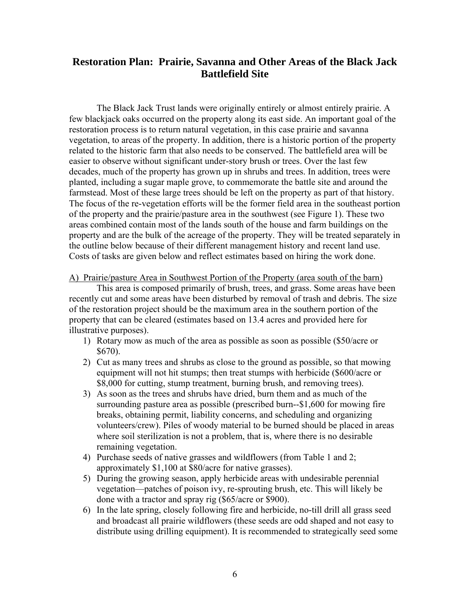## **Restoration Plan: Prairie, Savanna and Other Areas of the Black Jack Battlefield Site**

 The Black Jack Trust lands were originally entirely or almost entirely prairie. A few blackjack oaks occurred on the property along its east side. An important goal of the restoration process is to return natural vegetation, in this case prairie and savanna vegetation, to areas of the property. In addition, there is a historic portion of the property related to the historic farm that also needs to be conserved. The battlefield area will be easier to observe without significant under-story brush or trees. Over the last few decades, much of the property has grown up in shrubs and trees. In addition, trees were planted, including a sugar maple grove, to commemorate the battle site and around the farmstead. Most of these large trees should be left on the property as part of that history. The focus of the re-vegetation efforts will be the former field area in the southeast portion of the property and the prairie/pasture area in the southwest (see Figure 1). These two areas combined contain most of the lands south of the house and farm buildings on the property and are the bulk of the acreage of the property. They will be treated separately in the outline below because of their different management history and recent land use. Costs of tasks are given below and reflect estimates based on hiring the work done.

A) Prairie/pasture Area in Southwest Portion of the Property (area south of the barn)

 This area is composed primarily of brush, trees, and grass. Some areas have been recently cut and some areas have been disturbed by removal of trash and debris. The size of the restoration project should be the maximum area in the southern portion of the property that can be cleared (estimates based on 13.4 acres and provided here for illustrative purposes).

- 1) Rotary mow as much of the area as possible as soon as possible (\$50/acre or \$670).
- 2) Cut as many trees and shrubs as close to the ground as possible, so that mowing equipment will not hit stumps; then treat stumps with herbicide (\$600/acre or \$8,000 for cutting, stump treatment, burning brush, and removing trees).
- 3) As soon as the trees and shrubs have dried, burn them and as much of the surrounding pasture area as possible (prescribed burn--\$1,600 for mowing fire breaks, obtaining permit, liability concerns, and scheduling and organizing volunteers/crew). Piles of woody material to be burned should be placed in areas where soil sterilization is not a problem, that is, where there is no desirable remaining vegetation.
- 4) Purchase seeds of native grasses and wildflowers (from Table 1 and 2; approximately \$1,100 at \$80/acre for native grasses).
- 5) During the growing season, apply herbicide areas with undesirable perennial vegetation—patches of poison ivy, re-sprouting brush, etc. This will likely be done with a tractor and spray rig (\$65/acre or \$900).
- 6) In the late spring, closely following fire and herbicide, no-till drill all grass seed and broadcast all prairie wildflowers (these seeds are odd shaped and not easy to distribute using drilling equipment). It is recommended to strategically seed some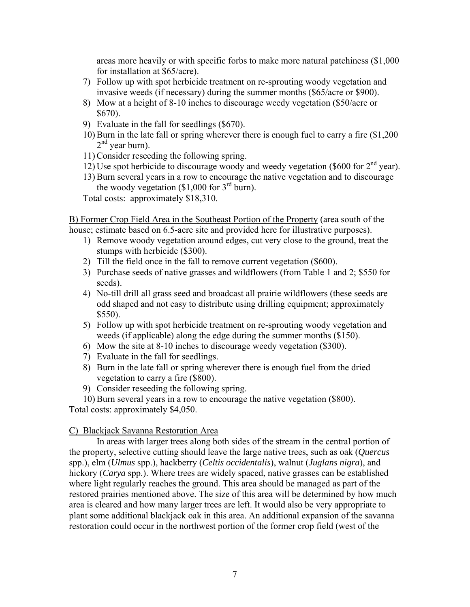areas more heavily or with specific forbs to make more natural patchiness (\$1,000 for installation at \$65/acre).

- 7) Follow up with spot herbicide treatment on re-sprouting woody vegetation and invasive weeds (if necessary) during the summer months (\$65/acre or \$900).
- 8) Mow at a height of 8-10 inches to discourage weedy vegetation (\$50/acre or \$670).
- 9) Evaluate in the fall for seedlings (\$670).
- 10) Burn in the late fall or spring wherever there is enough fuel to carry a fire (\$1,200  $2<sup>nd</sup>$  year burn).
- 11) Consider reseeding the following spring.
- 12) Use spot herbicide to discourage woody and weedy vegetation (\$600 for  $2<sup>nd</sup>$  year).
- 13) Burn several years in a row to encourage the native vegetation and to discourage the woody vegetation  $(\$1,000$  for  $3<sup>rd</sup>$  burn).

Total costs: approximately \$18,310.

B) Former Crop Field Area in the Southeast Portion of the Property (area south of the house; estimate based on 6.5-acre site and provided here for illustrative purposes).

- 1) Remove woody vegetation around edges, cut very close to the ground, treat the stumps with herbicide (\$300).
- 2) Till the field once in the fall to remove current vegetation (\$600).
- 3) Purchase seeds of native grasses and wildflowers (from Table 1 and 2; \$550 for seeds).
- 4) No-till drill all grass seed and broadcast all prairie wildflowers (these seeds are odd shaped and not easy to distribute using drilling equipment; approximately \$550).
- 5) Follow up with spot herbicide treatment on re-sprouting woody vegetation and weeds (if applicable) along the edge during the summer months (\$150).
- 6) Mow the site at 8-10 inches to discourage weedy vegetation (\$300).
- 7) Evaluate in the fall for seedlings.
- 8) Burn in the late fall or spring wherever there is enough fuel from the dried vegetation to carry a fire (\$800).
- 9) Consider reseeding the following spring.
- 10) Burn several years in a row to encourage the native vegetation (\$800).

Total costs: approximately \$4,050.

## C) Blackjack Savanna Restoration Area

 In areas with larger trees along both sides of the stream in the central portion of the property, selective cutting should leave the large native trees, such as oak (*Quercus* spp.), elm (*Ulmus* spp.), hackberry (*Celtis occidentalis*), walnut (*Juglans nigra*), and hickory (*Carya* spp.). Where trees are widely spaced, native grasses can be established where light regularly reaches the ground. This area should be managed as part of the restored prairies mentioned above. The size of this area will be determined by how much area is cleared and how many larger trees are left. It would also be very appropriate to plant some additional blackjack oak in this area. An additional expansion of the savanna restoration could occur in the northwest portion of the former crop field (west of the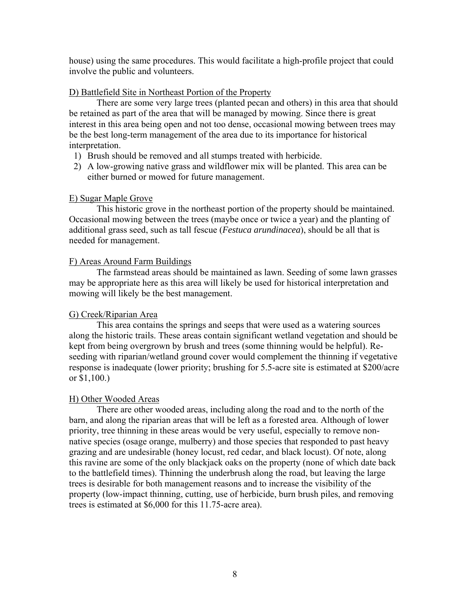house) using the same procedures. This would facilitate a high-profile project that could involve the public and volunteers.

## D) Battlefield Site in Northeast Portion of the Property

 There are some very large trees (planted pecan and others) in this area that should be retained as part of the area that will be managed by mowing. Since there is great interest in this area being open and not too dense, occasional mowing between trees may be the best long-term management of the area due to its importance for historical interpretation.

- 1) Brush should be removed and all stumps treated with herbicide.
- 2) A low-growing native grass and wildflower mix will be planted. This area can be either burned or mowed for future management.

## E) Sugar Maple Grove

 This historic grove in the northeast portion of the property should be maintained. Occasional mowing between the trees (maybe once or twice a year) and the planting of additional grass seed, such as tall fescue (*Festuca arundinacea*), should be all that is needed for management.

## F) Areas Around Farm Buildings

 The farmstead areas should be maintained as lawn. Seeding of some lawn grasses may be appropriate here as this area will likely be used for historical interpretation and mowing will likely be the best management.

## G) Creek/Riparian Area

 This area contains the springs and seeps that were used as a watering sources along the historic trails. These areas contain significant wetland vegetation and should be kept from being overgrown by brush and trees (some thinning would be helpful). Reseeding with riparian/wetland ground cover would complement the thinning if vegetative response is inadequate (lower priority; brushing for 5.5-acre site is estimated at \$200/acre or \$1,100.)

## H) Other Wooded Areas

 There are other wooded areas, including along the road and to the north of the barn, and along the riparian areas that will be left as a forested area. Although of lower priority, tree thinning in these areas would be very useful, especially to remove nonnative species (osage orange, mulberry) and those species that responded to past heavy grazing and are undesirable (honey locust, red cedar, and black locust). Of note, along this ravine are some of the only blackjack oaks on the property (none of which date back to the battlefield times). Thinning the underbrush along the road, but leaving the large trees is desirable for both management reasons and to increase the visibility of the property (low-impact thinning, cutting, use of herbicide, burn brush piles, and removing trees is estimated at \$6,000 for this 11.75-acre area).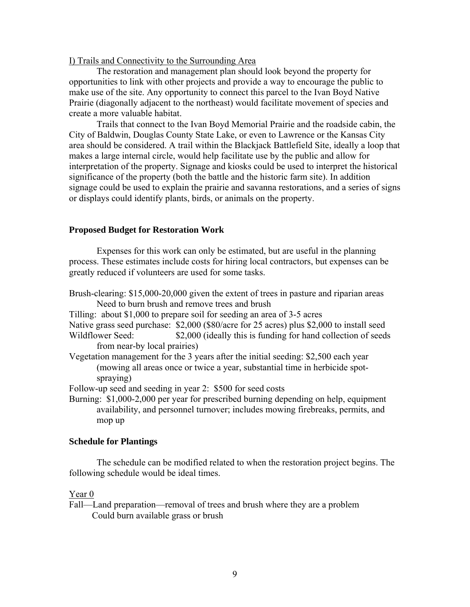#### I) Trails and Connectivity to the Surrounding Area

 The restoration and management plan should look beyond the property for opportunities to link with other projects and provide a way to encourage the public to make use of the site. Any opportunity to connect this parcel to the Ivan Boyd Native Prairie (diagonally adjacent to the northeast) would facilitate movement of species and create a more valuable habitat.

Trails that connect to the Ivan Boyd Memorial Prairie and the roadside cabin, the City of Baldwin, Douglas County State Lake, or even to Lawrence or the Kansas City area should be considered. A trail within the Blackjack Battlefield Site, ideally a loop that makes a large internal circle, would help facilitate use by the public and allow for interpretation of the property. Signage and kiosks could be used to interpret the historical significance of the property (both the battle and the historic farm site). In addition signage could be used to explain the prairie and savanna restorations, and a series of signs or displays could identify plants, birds, or animals on the property.

#### **Proposed Budget for Restoration Work**

 Expenses for this work can only be estimated, but are useful in the planning process. These estimates include costs for hiring local contractors, but expenses can be greatly reduced if volunteers are used for some tasks.

Brush-clearing: \$15,000-20,000 given the extent of trees in pasture and riparian areas Need to burn brush and remove trees and brush

Tilling: about \$1,000 to prepare soil for seeding an area of 3-5 acres

Native grass seed purchase: \$2,000 (\$80/acre for 25 acres) plus \$2,000 to install seed

Wildflower Seed:  $$2,000$  (ideally this is funding for hand collection of seeds from near-by local prairies)

Vegetation management for the 3 years after the initial seeding: \$2,500 each year (mowing all areas once or twice a year, substantial time in herbicide spotspraying)

Follow-up seed and seeding in year 2: \$500 for seed costs

Burning: \$1,000-2,000 per year for prescribed burning depending on help, equipment availability, and personnel turnover; includes mowing firebreaks, permits, and mop up

#### **Schedule for Plantings**

 The schedule can be modified related to when the restoration project begins. The following schedule would be ideal times.

## Year 0

Fall—Land preparation—removal of trees and brush where they are a problem Could burn available grass or brush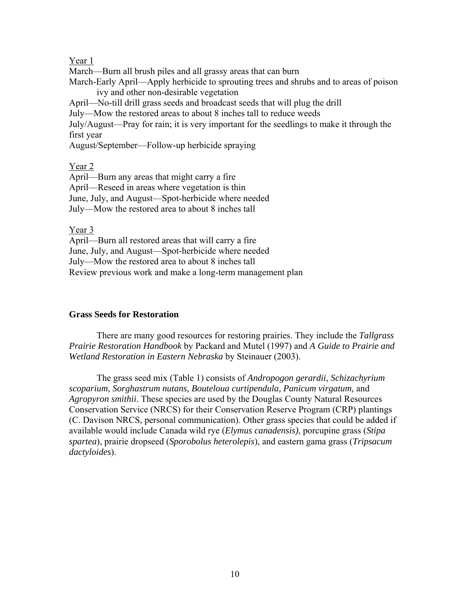Year 1

March—Burn all brush piles and all grassy areas that can burn

March-Early April—Apply herbicide to sprouting trees and shrubs and to areas of poison ivy and other non-desirable vegetation

April—No-till drill grass seeds and broadcast seeds that will plug the drill

July—Mow the restored areas to about 8 inches tall to reduce weeds

July/August—Pray for rain; it is very important for the seedlings to make it through the first year

August/September—Follow-up herbicide spraying

Year 2

April—Burn any areas that might carry a fire

April—Reseed in areas where vegetation is thin

June, July, and August—Spot-herbicide where needed

July—Mow the restored area to about 8 inches tall

Year 3

April—Burn all restored areas that will carry a fire June, July, and August—Spot-herbicide where needed July—Mow the restored area to about 8 inches tall Review previous work and make a long-term management plan

## **Grass Seeds for Restoration**

There are many good resources for restoring prairies. They include the *Tallgrass Prairie Restoration Handbook* by Packard and Mutel (1997) and *A Guide to Prairie and Wetland Restoration in Eastern Nebraska* by Steinauer (2003).

The grass seed mix (Table 1) consists of *Andropogon gerardii*, *Schizachyrium scoparium, Sorghastrum nutans, Bouteloua curtipendula, Panicum virgatum,* and *Agropyron smithii*. These species are used by the Douglas County Natural Resources Conservation Service (NRCS) for their Conservation Reserve Program (CRP) plantings (C. Davison NRCS, personal communication). Other grass species that could be added if available would include Canada wild rye (*Elymus canadensis)*, porcupine grass (*Stipa spartea*), prairie dropseed (*Sporobolus heterolepis*), and eastern gama grass (*Tripsacum dactyloides*).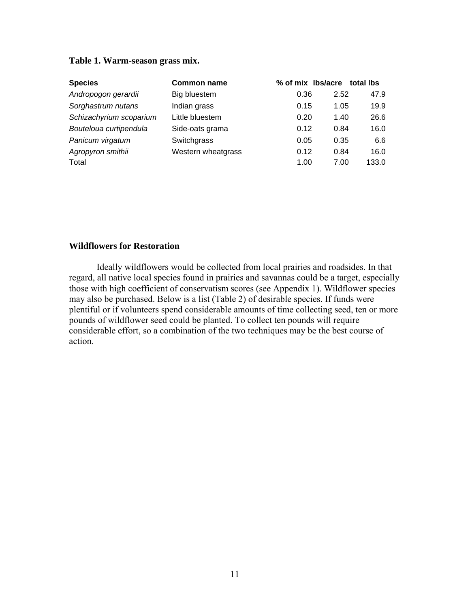#### **Table 1. Warm-season grass mix.**

| <b>Species</b>          | <b>Common name</b> |      | % of mix lbs/acre total lbs |       |
|-------------------------|--------------------|------|-----------------------------|-------|
| Andropogon gerardii     | Big bluestem       | 0.36 | 2.52                        | 47.9  |
| Sorghastrum nutans      | Indian grass       | 0.15 | 1.05                        | 19.9  |
| Schizachyrium scoparium | Little bluestem    | 0.20 | 1.40                        | 26.6  |
| Bouteloua curtipendula  | Side-oats grama    | 0.12 | 0.84                        | 16.0  |
| Panicum virgatum        | Switchgrass        | 0.05 | 0.35                        | 6.6   |
| Agropyron smithii       | Western wheatgrass | 0.12 | 0.84                        | 16.0  |
| Total                   |                    | 1.00 | 7.00                        | 133.0 |

## **Wildflowers for Restoration**

 Ideally wildflowers would be collected from local prairies and roadsides. In that regard, all native local species found in prairies and savannas could be a target, especially those with high coefficient of conservatism scores (see Appendix 1). Wildflower species may also be purchased. Below is a list (Table 2) of desirable species. If funds were plentiful or if volunteers spend considerable amounts of time collecting seed, ten or more pounds of wildflower seed could be planted. To collect ten pounds will require considerable effort, so a combination of the two techniques may be the best course of action.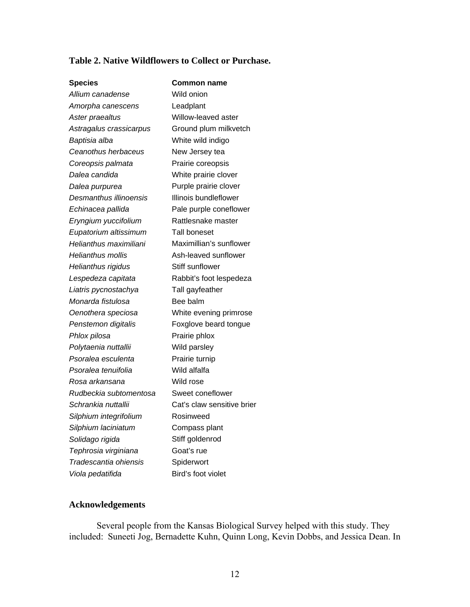### **Table 2. Native Wildflowers to Collect or Purchase.**

#### **Species Common name**

*Allium canadense* Wild onion *Amorpha canescens* Leadplant *Aster praealtus* Willow-leaved aster *Astragalus crassicarpus* Ground plum milkvetch *Baptisia alba* White wild indigo *Ceanothus herbaceus* New Jersey tea *Coreopsis palmata* Prairie coreopsis *Dalea candida* White prairie clover *Dalea purpurea* Purple prairie clover *Desmanthus illinoensis* Illinois bundleflower *Echinacea pallida* Pale purple coneflower *Eryngium yuccifolium* Rattlesnake master *Eupatorium altissimum* Tall boneset *Helianthus maximiliani* Maximillian's sunflower *Helianthus mollis* Ash-leaved sunflower *Helianthus rigidus* Stiff sunflower *Lespedeza capitata* Rabbit's foot lespedeza *Liatris pycnostachya* Tall gayfeather *Monarda fistulosa* **Bee balm** *Oenothera speciosa* White evening primrose *Penstemon digitalis* Foxglove beard tongue **Phlox pilosa Prairie phlox** *Polytaenia nuttallii* Wild parsley *Psoralea esculenta* Prairie turnip *Psoralea tenuifolia* Wild alfalfa *Rosa arkansana* Wild rose *Rudbeckia subtomentosa* Sweet coneflower *Schrankia nuttallii* Cat's claw sensitive brier *Silphium integrifolium* Rosinweed *Silphium laciniatum* Compass plant *Solidago rigida* Stiff goldenrod *Tephrosia virginiana* Goat's rue *Tradescantia ohiensis* Spiderwort *Viola pedatifida* Bird's foot violet

#### **Acknowledgements**

Several people from the Kansas Biological Survey helped with this study. They included: Suneeti Jog, Bernadette Kuhn, Quinn Long, Kevin Dobbs, and Jessica Dean. In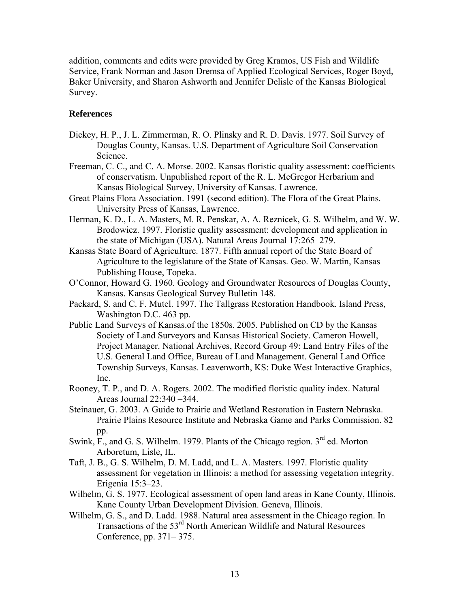addition, comments and edits were provided by Greg Kramos, US Fish and Wildlife Service, Frank Norman and Jason Dremsa of Applied Ecological Services, Roger Boyd, Baker University, and Sharon Ashworth and Jennifer Delisle of the Kansas Biological Survey.

## **References**

- Dickey, H. P., J. L. Zimmerman, R. O. Plinsky and R. D. Davis. 1977. Soil Survey of Douglas County, Kansas. U.S. Department of Agriculture Soil Conservation Science.
- Freeman, C. C., and C. A. Morse. 2002. Kansas floristic quality assessment: coefficients of conservatism. Unpublished report of the R. L. McGregor Herbarium and Kansas Biological Survey, University of Kansas. Lawrence.
- Great Plains Flora Association. 1991 (second edition). The Flora of the Great Plains. University Press of Kansas, Lawrence.
- Herman, K. D., L. A. Masters, M. R. Penskar, A. A. Reznicek, G. S. Wilhelm, and W. W. Brodowicz. 1997. Floristic quality assessment: development and application in the state of Michigan (USA). Natural Areas Journal 17:265–279.
- Kansas State Board of Agriculture. 1877. Fifth annual report of the State Board of Agriculture to the legislature of the State of Kansas. Geo. W. Martin, Kansas Publishing House, Topeka.
- O'Connor, Howard G. 1960. Geology and Groundwater Resources of Douglas County, Kansas. Kansas Geological Survey Bulletin 148.
- Packard, S. and C. F. Mutel. 1997. The Tallgrass Restoration Handbook. Island Press, Washington D.C. 463 pp.
- Public Land Surveys of Kansas.of the 1850s. 2005. Published on CD by the Kansas Society of Land Surveyors and Kansas Historical Society. Cameron Howell, Project Manager. National Archives, Record Group 49: Land Entry Files of the U.S. General Land Office, Bureau of Land Management. General Land Office Township Surveys, Kansas. Leavenworth, KS: Duke West Interactive Graphics, Inc.
- Rooney, T. P., and D. A. Rogers. 2002. The modified floristic quality index. Natural Areas Journal 22:340 –344.
- Steinauer, G. 2003. A Guide to Prairie and Wetland Restoration in Eastern Nebraska. Prairie Plains Resource Institute and Nebraska Game and Parks Commission. 82 pp.
- Swink,  $\overline{F}$ , and G. S. Wilhelm. 1979. Plants of the Chicago region.  $3^{rd}$  ed. Morton Arboretum, Lisle, IL.
- Taft, J. B., G. S. Wilhelm, D. M. Ladd, and L. A. Masters. 1997. Floristic quality assessment for vegetation in Illinois: a method for assessing vegetation integrity. Erigenia 15:3–23.
- Wilhelm, G. S. 1977. Ecological assessment of open land areas in Kane County, Illinois. Kane County Urban Development Division. Geneva, Illinois.
- Wilhelm, G. S., and D. Ladd. 1988. Natural area assessment in the Chicago region. In Transactions of the 53rd North American Wildlife and Natural Resources Conference, pp. 371– 375.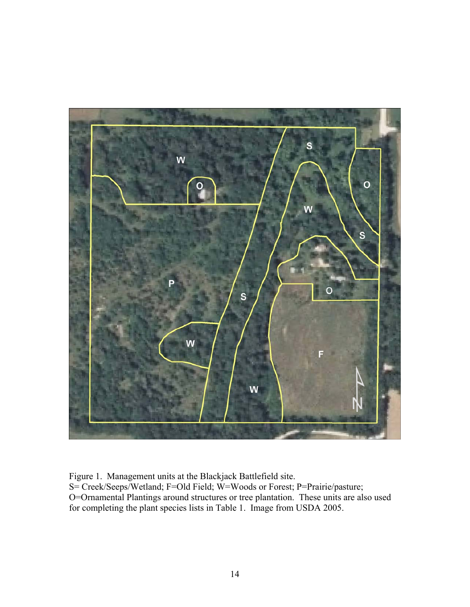

Figure 1. Management units at the Blackjack Battlefield site. S= Creek/Seeps/Wetland; F=Old Field; W=Woods or Forest; P=Prairie/pasture; O=Ornamental Plantings around structures or tree plantation. These units are also used for completing the plant species lists in Table 1. Image from USDA 2005.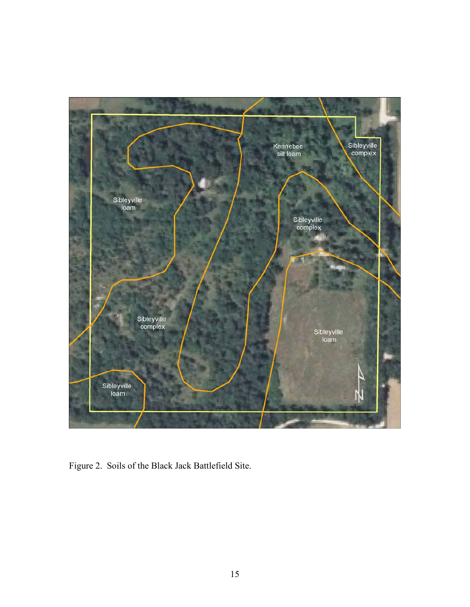

Figure 2. Soils of the Black Jack Battlefield Site.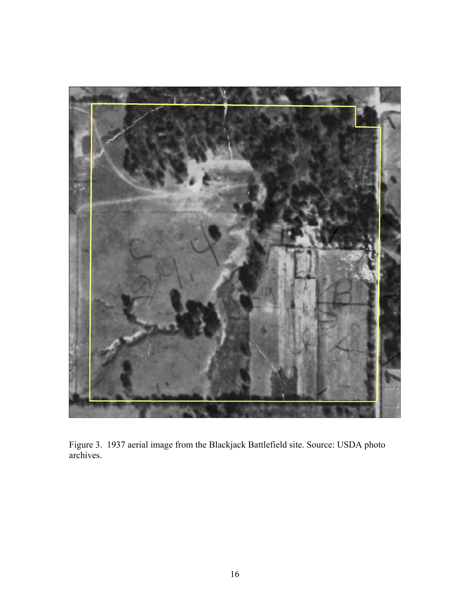

Figure 3. 1937 aerial image from the Blackjack Battlefield site. Source: USDA photo archives.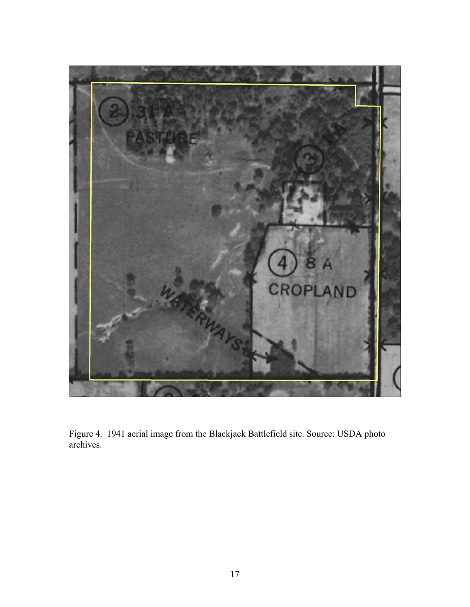

Figure 4. 1941 aerial image from the Blackjack Battlefield site. Source: USDA photo archives.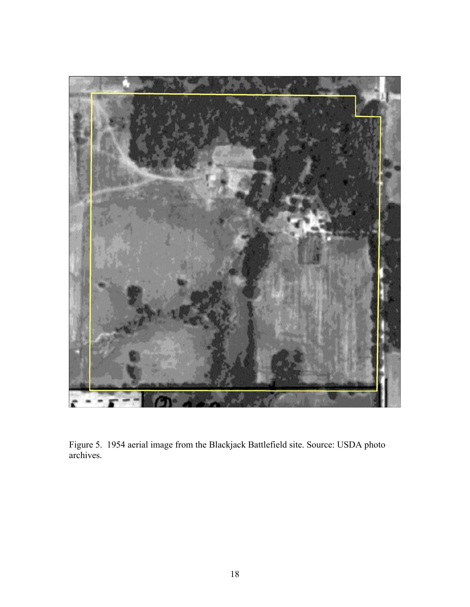

Figure 5. 1954 aerial image from the Blackjack Battlefield site. Source: USDA photo archives.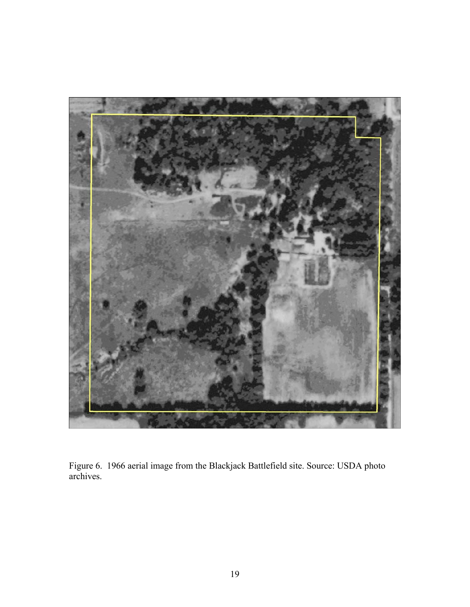

Figure 6. 1966 aerial image from the Blackjack Battlefield site. Source: USDA photo archives.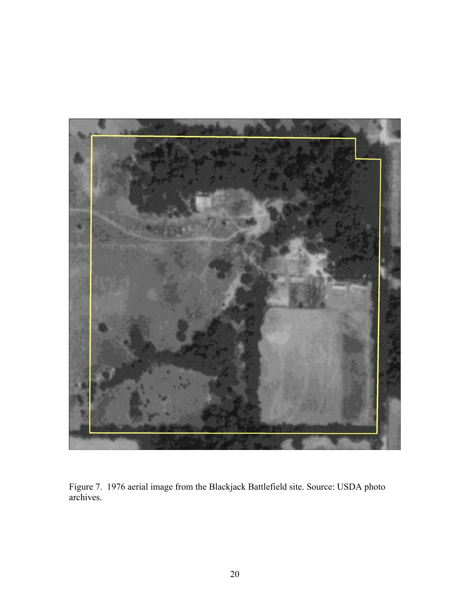

Figure 7. 1976 aerial image from the Blackjack Battlefield site. Source: USDA photo archives.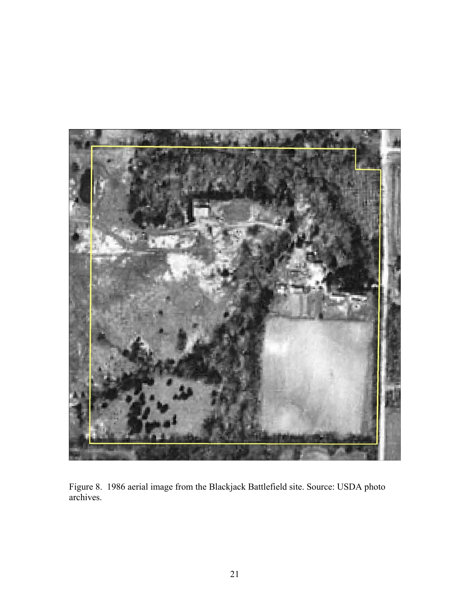

Figure 8. 1986 aerial image from the Blackjack Battlefield site. Source: USDA photo archives.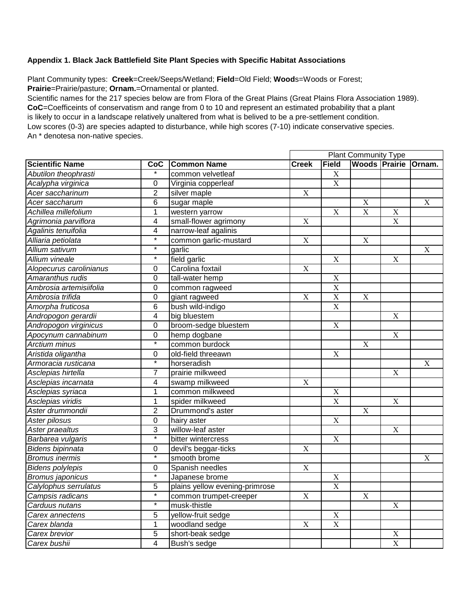#### **Appendix 1. Black Jack Battlefield Site Plant Species with Specific Habitat Associations**

Plant Community types: **Creek**=Creek/Seeps/Wetland; **Field**=Old Field; **Wood**s=Woods or Forest; **Prairie**=Prairie/pasture; **Ornam.**=Ornamental or planted.

Scientific names for the 217 species below are from Flora of the Great Plains (Great Plains Flora Association 1989). **CoC**=Coefficeints of conservatism and range from 0 to 10 and represent an estimated probability that a plant is likely to occur in a landscape relatively unaltered from what is belived to be a pre-settlement condition. Low scores (0-3) are species adapted to disturbance, while high scores (7-10) indicate conservative species. An \* denotesa non-native species.

|                         |                   |                                | <b>Plant Community Type</b> |                         |                      |                           |                |
|-------------------------|-------------------|--------------------------------|-----------------------------|-------------------------|----------------------|---------------------------|----------------|
| <b>Scientific Name</b>  | CoC               | <b>Common Name</b>             | <b>Creek</b>                | Field                   | <b>Woods Prairie</b> |                           | <b>IOrnam.</b> |
| Abutilon theophrasti    |                   | common velvetleaf              |                             | $\mathbf X$             |                      |                           |                |
| Acalypha virginica      | $\overline{0}$    | Virginia copperleaf            |                             | $\overline{X}$          |                      |                           |                |
| Acer saccharinum        | $\overline{2}$    | silver maple                   | $\overline{X}$              |                         |                      |                           |                |
| Acer saccharum          | $6\phantom{1}$    | sugar maple                    |                             |                         | $\mathbf X$          |                           | $\overline{X}$ |
| Achillea millefolium    | 1                 | western yarrow                 |                             | $\overline{X}$          | $\overline{X}$       | $\mathbf X$               |                |
| Agrimonia parviflora    | $\overline{4}$    | small-flower agrimony          | $\mathbf X$                 |                         |                      | $\mathbf X$               |                |
| Agalinis tenuifolia     | $\overline{4}$    | narrow-leaf agalinis           |                             |                         |                      |                           |                |
| Alliaria petiolata      | $\star$           | common garlic-mustard          | $\overline{X}$              |                         | $\overline{X}$       |                           |                |
| Allium sativum          | $\star$           | garlic                         |                             |                         |                      |                           | $\overline{X}$ |
| Allium vineale          | $\star$           | field garlic                   |                             | $\mathbf X$             |                      | $\mathbf X$               |                |
| Alopecurus carolinianus | $\mathbf 0$       | Carolina foxtail               | $\mathbf X$                 |                         |                      |                           |                |
| Amaranthus rudis        | $\mathbf 0$       | tall-water hemp                |                             | X                       |                      |                           |                |
| Ambrosia artemisiifolia | $\mathbf 0$       | common ragweed                 |                             | $\overline{X}$          |                      |                           |                |
| Ambrosia trifida        | $\mathbf 0$       | giant ragweed                  | $\mathbf X$                 | $\overline{\text{X}}$   | $\mathbf X$          |                           |                |
| Amorpha fruticosa       | 6                 | bush wild-indigo               |                             | X                       |                      |                           |                |
| Andropogon gerardii     | $\overline{4}$    | big bluestem                   |                             |                         |                      | $\boldsymbol{\mathrm{X}}$ |                |
| Andropogon virginicus   | $\mathbf 0$       | broom-sedge bluestem           |                             | $\overline{\mathbf{X}}$ |                      |                           |                |
| Apocynum cannabinum     | $\mathbf 0$       | hemp dogbane                   |                             |                         |                      | $\overline{X}$            |                |
| Arctium minus           | $\star$           | common burdock                 |                             |                         | $\mathbf X$          |                           |                |
| Aristida oligantha      | $\mathbf 0$       | old-field threeawn             |                             | $\mathbf X$             |                      |                           |                |
| Armoracia rusticana     | $\ast$            | horseradish                    |                             |                         |                      |                           | X              |
| Asclepias hirtella      | $\overline{7}$    | prairie milkweed               |                             |                         |                      | $\mathbf X$               |                |
| Asclepias incarnata     | $\overline{4}$    | swamp milkweed                 | $\mathbf X$                 |                         |                      |                           |                |
| Asclepias syriaca       | $\mathbf{1}$      | common milkweed                |                             | $\mathbf X$             |                      |                           |                |
| Asclepias viridis       | 1                 | spider milkweed                |                             | $\overline{X}$          |                      | $\overline{X}$            |                |
| Aster drummondii        | $\overline{2}$    | Drummond's aster               |                             |                         | $\overline{X}$       |                           |                |
| Aster pilosus           | $\overline{0}$    | hairy aster                    |                             | $\overline{X}$          |                      |                           |                |
| Aster praealtus         | $\overline{3}$    | willow-leaf aster              |                             |                         |                      | $\overline{X}$            |                |
| Barbarea vulgaris       | $\star$           | bitter wintercress             |                             | $\mathbf X$             |                      |                           |                |
| Bidens bipinnata        | 0                 | devil's beggar-ticks           | $\mathbf X$                 |                         |                      |                           |                |
| <b>Bromus inermis</b>   | $\star$           | smooth brome                   |                             |                         |                      |                           | $\mathbf X$    |
| <b>Bidens polylepis</b> | 0                 | Spanish needles                | $\mathbf X$                 |                         |                      |                           |                |
| Bromus japonicus        | $\ast$            | Japanese brome                 |                             | $\mathbf X$             |                      |                           |                |
| Calylophus serrulatus   | 5                 | plains yellow evening-primrose |                             | $\overline{X}$          |                      |                           |                |
| Campsis radicans        | $\overline{\ast}$ | common trumpet-creeper         | $\mathbf X$                 |                         | $\mathbf X$          |                           |                |
| Carduus nutans          | $\overline{\ast}$ | musk-thistle                   |                             |                         |                      | $\overline{\mathbf{X}}$   |                |
| Carex annectens         | 5                 | yellow-fruit sedge             |                             | X                       |                      |                           |                |
| Carex blanda            | 1                 | woodland sedge                 | $\mathbf X$                 | X                       |                      |                           |                |
| Carex brevior           | 5                 | short-beak sedge               |                             |                         |                      | $\mathbf X$               |                |
| Carex bushii            | 4                 | Bush's sedge                   |                             |                         |                      | $\overline{X}$            |                |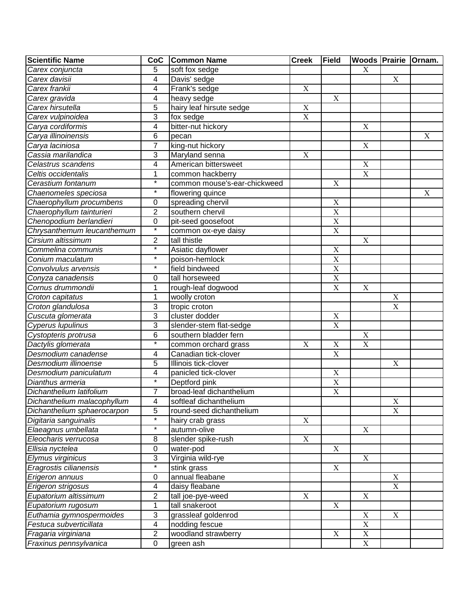| 5<br>$\mathbf X$<br>Carex conjuncta<br>soft fox sedge<br>4<br>Carex davisii<br>$\mathbf X$<br>Davis' sedge<br>$\overline{\mathbf{4}}$<br>Frank's sedge<br>$\mathbf X$<br>Carex frankii<br>$\overline{\mathbf{4}}$<br>heavy sedge<br>$\boldsymbol{\mathrm{X}}$<br>Carex gravida<br>Carex hirsutella<br>5<br>hairy leaf hirsute sedge<br>$\mathbf X$<br>3<br>Carex vulpinoidea<br>fox sedge<br>$\mathbf X$<br>bitter-nut hickory<br>$\overline{4}$<br>$\mathbf X$<br>Carya cordiformis<br>Carya illinoinensis<br>6<br>$\mathbf X$<br>pecan<br>$\overline{7}$<br>king-nut hickory<br>$\mathbf X$<br>Carya laciniosa<br>Cassia marilandica<br>$\overline{3}$<br>$\overline{X}$<br>Maryland senna<br>$\overline{4}$<br>American bittersweet<br>Celastrus scandens<br>$\mathbf X$<br>$\overline{X}$<br>Celtis occidentalis<br>1<br>common hackberry<br>$\star$<br>Cerastium fontanum<br>common mouse's-ear-chickweed<br>$\mathbf X$<br>$\star$<br>Chaenomeles speciosa<br>flowering quince<br>$\mathbf X$<br>spreading chervil<br>$\mathbf X$<br>Chaerophyllum procumbens<br>$\mathbf 0$<br>$\overline{X}$<br>$\overline{2}$<br>Chaerophyllum tainturieri<br>southern chervil<br>$\overline{X}$<br>0<br>Chenopodium berlandieri<br>pit-seed goosefoot<br>$\star$<br>$\overline{\text{X}}$<br>Chrysanthemum leucanthemum<br>common ox-eye daisy<br>$\sqrt{2}$<br>Cirsium altissimum<br>tall thistle<br>$\mathbf X$<br>$\star$<br>Commelina communis<br>$\mathbf X$<br>Asiatic dayflower<br>$\overline{X}$<br>$\star$<br>poison-hemlock<br>Conium maculatum<br>$\star$<br>$\overline{\mathrm{X}}$<br>Convolvulus arvensis<br>field bindweed<br>tall horseweed<br>$\mathbf X$<br>Conyza canadensis<br>$\mathbf 0$<br>$\overline{\mathrm{X}}$<br>Cornus drummondii<br>1<br>$\mathbf X$<br>rough-leaf dogwood<br>$\mathbf{1}$<br>Croton capitatus<br>woolly croton<br>$\mathbf X$<br>$\mathbf{3}$<br>$\boldsymbol{\mathrm{X}}$<br>Croton glandulosa<br>tropic croton<br>$\overline{3}$<br>Cuscuta glomerata<br>$\mathbf X$<br>cluster dodder<br>$\overline{3}$<br>$\overline{X}$<br>Cyperus lupulinus<br>slender-stem flat-sedge<br>6<br>southern bladder fern<br>$\mathbf X$<br>Cystopteris protrusa<br>$\star$<br>$\overline{X}$<br>$\overline{X}$<br>$\mathbf X$<br>Dactylis glomerata<br>common orchard grass<br>Canadian tick-clover<br>$\overline{X}$<br>Desmodium canadense<br>$\overline{\mathcal{A}}$<br>Desmodium illinoense<br>5<br>Illinois tick-clover<br>X<br>4<br>X<br>Desmodium paniculatum<br>panicled tick-clover<br>$\star$<br>$\overline{X}$<br>Dianthus armeria<br>Deptford pink<br>$\overline{\text{X}}$<br>$\overline{7}$<br>broad-leaf dichanthelium<br>Dichanthelium latifolium<br>Dichanthelium malacophyllum<br>softleaf dichanthelium<br>4<br>X<br>$\overline{5}$<br>$\overline{X}$<br>round-seed dichanthelium<br>Dichanthelium sphaerocarpon<br>$\star$<br>Digitaria sanguinalis<br>X<br>hairy crab grass<br>$\star$<br>Elaeagnus umbellata<br>autumn-olive<br>X<br>slender spike-rush<br>X<br>Eleocharis verrucosa<br>8<br>Ellisia nyctelea<br>$\pmb{0}$<br>water-pod<br>$\mathbf X$ | <b>Scientific Name</b> | <b>CoC</b> | <b>Common Name</b> | <b>Creek</b> | <b>Field</b> | <b>Woods Prairie Ornam.</b> |  |
|----------------------------------------------------------------------------------------------------------------------------------------------------------------------------------------------------------------------------------------------------------------------------------------------------------------------------------------------------------------------------------------------------------------------------------------------------------------------------------------------------------------------------------------------------------------------------------------------------------------------------------------------------------------------------------------------------------------------------------------------------------------------------------------------------------------------------------------------------------------------------------------------------------------------------------------------------------------------------------------------------------------------------------------------------------------------------------------------------------------------------------------------------------------------------------------------------------------------------------------------------------------------------------------------------------------------------------------------------------------------------------------------------------------------------------------------------------------------------------------------------------------------------------------------------------------------------------------------------------------------------------------------------------------------------------------------------------------------------------------------------------------------------------------------------------------------------------------------------------------------------------------------------------------------------------------------------------------------------------------------------------------------------------------------------------------------------------------------------------------------------------------------------------------------------------------------------------------------------------------------------------------------------------------------------------------------------------------------------------------------------------------------------------------------------------------------------------------------------------------------------------------------------------------------------------------------------------------------------------------------------------------------------------------------------------------------------------------------------------------------------------------------------------------------------------------------------------------------------------------------------------------------------------------------------------------------------------------------------------------------------------------------------------------------------------------------------------------------------------|------------------------|------------|--------------------|--------------|--------------|-----------------------------|--|
|                                                                                                                                                                                                                                                                                                                                                                                                                                                                                                                                                                                                                                                                                                                                                                                                                                                                                                                                                                                                                                                                                                                                                                                                                                                                                                                                                                                                                                                                                                                                                                                                                                                                                                                                                                                                                                                                                                                                                                                                                                                                                                                                                                                                                                                                                                                                                                                                                                                                                                                                                                                                                                                                                                                                                                                                                                                                                                                                                                                                                                                                                                          |                        |            |                    |              |              |                             |  |
|                                                                                                                                                                                                                                                                                                                                                                                                                                                                                                                                                                                                                                                                                                                                                                                                                                                                                                                                                                                                                                                                                                                                                                                                                                                                                                                                                                                                                                                                                                                                                                                                                                                                                                                                                                                                                                                                                                                                                                                                                                                                                                                                                                                                                                                                                                                                                                                                                                                                                                                                                                                                                                                                                                                                                                                                                                                                                                                                                                                                                                                                                                          |                        |            |                    |              |              |                             |  |
|                                                                                                                                                                                                                                                                                                                                                                                                                                                                                                                                                                                                                                                                                                                                                                                                                                                                                                                                                                                                                                                                                                                                                                                                                                                                                                                                                                                                                                                                                                                                                                                                                                                                                                                                                                                                                                                                                                                                                                                                                                                                                                                                                                                                                                                                                                                                                                                                                                                                                                                                                                                                                                                                                                                                                                                                                                                                                                                                                                                                                                                                                                          |                        |            |                    |              |              |                             |  |
|                                                                                                                                                                                                                                                                                                                                                                                                                                                                                                                                                                                                                                                                                                                                                                                                                                                                                                                                                                                                                                                                                                                                                                                                                                                                                                                                                                                                                                                                                                                                                                                                                                                                                                                                                                                                                                                                                                                                                                                                                                                                                                                                                                                                                                                                                                                                                                                                                                                                                                                                                                                                                                                                                                                                                                                                                                                                                                                                                                                                                                                                                                          |                        |            |                    |              |              |                             |  |
|                                                                                                                                                                                                                                                                                                                                                                                                                                                                                                                                                                                                                                                                                                                                                                                                                                                                                                                                                                                                                                                                                                                                                                                                                                                                                                                                                                                                                                                                                                                                                                                                                                                                                                                                                                                                                                                                                                                                                                                                                                                                                                                                                                                                                                                                                                                                                                                                                                                                                                                                                                                                                                                                                                                                                                                                                                                                                                                                                                                                                                                                                                          |                        |            |                    |              |              |                             |  |
|                                                                                                                                                                                                                                                                                                                                                                                                                                                                                                                                                                                                                                                                                                                                                                                                                                                                                                                                                                                                                                                                                                                                                                                                                                                                                                                                                                                                                                                                                                                                                                                                                                                                                                                                                                                                                                                                                                                                                                                                                                                                                                                                                                                                                                                                                                                                                                                                                                                                                                                                                                                                                                                                                                                                                                                                                                                                                                                                                                                                                                                                                                          |                        |            |                    |              |              |                             |  |
|                                                                                                                                                                                                                                                                                                                                                                                                                                                                                                                                                                                                                                                                                                                                                                                                                                                                                                                                                                                                                                                                                                                                                                                                                                                                                                                                                                                                                                                                                                                                                                                                                                                                                                                                                                                                                                                                                                                                                                                                                                                                                                                                                                                                                                                                                                                                                                                                                                                                                                                                                                                                                                                                                                                                                                                                                                                                                                                                                                                                                                                                                                          |                        |            |                    |              |              |                             |  |
|                                                                                                                                                                                                                                                                                                                                                                                                                                                                                                                                                                                                                                                                                                                                                                                                                                                                                                                                                                                                                                                                                                                                                                                                                                                                                                                                                                                                                                                                                                                                                                                                                                                                                                                                                                                                                                                                                                                                                                                                                                                                                                                                                                                                                                                                                                                                                                                                                                                                                                                                                                                                                                                                                                                                                                                                                                                                                                                                                                                                                                                                                                          |                        |            |                    |              |              |                             |  |
|                                                                                                                                                                                                                                                                                                                                                                                                                                                                                                                                                                                                                                                                                                                                                                                                                                                                                                                                                                                                                                                                                                                                                                                                                                                                                                                                                                                                                                                                                                                                                                                                                                                                                                                                                                                                                                                                                                                                                                                                                                                                                                                                                                                                                                                                                                                                                                                                                                                                                                                                                                                                                                                                                                                                                                                                                                                                                                                                                                                                                                                                                                          |                        |            |                    |              |              |                             |  |
|                                                                                                                                                                                                                                                                                                                                                                                                                                                                                                                                                                                                                                                                                                                                                                                                                                                                                                                                                                                                                                                                                                                                                                                                                                                                                                                                                                                                                                                                                                                                                                                                                                                                                                                                                                                                                                                                                                                                                                                                                                                                                                                                                                                                                                                                                                                                                                                                                                                                                                                                                                                                                                                                                                                                                                                                                                                                                                                                                                                                                                                                                                          |                        |            |                    |              |              |                             |  |
|                                                                                                                                                                                                                                                                                                                                                                                                                                                                                                                                                                                                                                                                                                                                                                                                                                                                                                                                                                                                                                                                                                                                                                                                                                                                                                                                                                                                                                                                                                                                                                                                                                                                                                                                                                                                                                                                                                                                                                                                                                                                                                                                                                                                                                                                                                                                                                                                                                                                                                                                                                                                                                                                                                                                                                                                                                                                                                                                                                                                                                                                                                          |                        |            |                    |              |              |                             |  |
|                                                                                                                                                                                                                                                                                                                                                                                                                                                                                                                                                                                                                                                                                                                                                                                                                                                                                                                                                                                                                                                                                                                                                                                                                                                                                                                                                                                                                                                                                                                                                                                                                                                                                                                                                                                                                                                                                                                                                                                                                                                                                                                                                                                                                                                                                                                                                                                                                                                                                                                                                                                                                                                                                                                                                                                                                                                                                                                                                                                                                                                                                                          |                        |            |                    |              |              |                             |  |
|                                                                                                                                                                                                                                                                                                                                                                                                                                                                                                                                                                                                                                                                                                                                                                                                                                                                                                                                                                                                                                                                                                                                                                                                                                                                                                                                                                                                                                                                                                                                                                                                                                                                                                                                                                                                                                                                                                                                                                                                                                                                                                                                                                                                                                                                                                                                                                                                                                                                                                                                                                                                                                                                                                                                                                                                                                                                                                                                                                                                                                                                                                          |                        |            |                    |              |              |                             |  |
|                                                                                                                                                                                                                                                                                                                                                                                                                                                                                                                                                                                                                                                                                                                                                                                                                                                                                                                                                                                                                                                                                                                                                                                                                                                                                                                                                                                                                                                                                                                                                                                                                                                                                                                                                                                                                                                                                                                                                                                                                                                                                                                                                                                                                                                                                                                                                                                                                                                                                                                                                                                                                                                                                                                                                                                                                                                                                                                                                                                                                                                                                                          |                        |            |                    |              |              |                             |  |
|                                                                                                                                                                                                                                                                                                                                                                                                                                                                                                                                                                                                                                                                                                                                                                                                                                                                                                                                                                                                                                                                                                                                                                                                                                                                                                                                                                                                                                                                                                                                                                                                                                                                                                                                                                                                                                                                                                                                                                                                                                                                                                                                                                                                                                                                                                                                                                                                                                                                                                                                                                                                                                                                                                                                                                                                                                                                                                                                                                                                                                                                                                          |                        |            |                    |              |              |                             |  |
|                                                                                                                                                                                                                                                                                                                                                                                                                                                                                                                                                                                                                                                                                                                                                                                                                                                                                                                                                                                                                                                                                                                                                                                                                                                                                                                                                                                                                                                                                                                                                                                                                                                                                                                                                                                                                                                                                                                                                                                                                                                                                                                                                                                                                                                                                                                                                                                                                                                                                                                                                                                                                                                                                                                                                                                                                                                                                                                                                                                                                                                                                                          |                        |            |                    |              |              |                             |  |
|                                                                                                                                                                                                                                                                                                                                                                                                                                                                                                                                                                                                                                                                                                                                                                                                                                                                                                                                                                                                                                                                                                                                                                                                                                                                                                                                                                                                                                                                                                                                                                                                                                                                                                                                                                                                                                                                                                                                                                                                                                                                                                                                                                                                                                                                                                                                                                                                                                                                                                                                                                                                                                                                                                                                                                                                                                                                                                                                                                                                                                                                                                          |                        |            |                    |              |              |                             |  |
|                                                                                                                                                                                                                                                                                                                                                                                                                                                                                                                                                                                                                                                                                                                                                                                                                                                                                                                                                                                                                                                                                                                                                                                                                                                                                                                                                                                                                                                                                                                                                                                                                                                                                                                                                                                                                                                                                                                                                                                                                                                                                                                                                                                                                                                                                                                                                                                                                                                                                                                                                                                                                                                                                                                                                                                                                                                                                                                                                                                                                                                                                                          |                        |            |                    |              |              |                             |  |
|                                                                                                                                                                                                                                                                                                                                                                                                                                                                                                                                                                                                                                                                                                                                                                                                                                                                                                                                                                                                                                                                                                                                                                                                                                                                                                                                                                                                                                                                                                                                                                                                                                                                                                                                                                                                                                                                                                                                                                                                                                                                                                                                                                                                                                                                                                                                                                                                                                                                                                                                                                                                                                                                                                                                                                                                                                                                                                                                                                                                                                                                                                          |                        |            |                    |              |              |                             |  |
|                                                                                                                                                                                                                                                                                                                                                                                                                                                                                                                                                                                                                                                                                                                                                                                                                                                                                                                                                                                                                                                                                                                                                                                                                                                                                                                                                                                                                                                                                                                                                                                                                                                                                                                                                                                                                                                                                                                                                                                                                                                                                                                                                                                                                                                                                                                                                                                                                                                                                                                                                                                                                                                                                                                                                                                                                                                                                                                                                                                                                                                                                                          |                        |            |                    |              |              |                             |  |
|                                                                                                                                                                                                                                                                                                                                                                                                                                                                                                                                                                                                                                                                                                                                                                                                                                                                                                                                                                                                                                                                                                                                                                                                                                                                                                                                                                                                                                                                                                                                                                                                                                                                                                                                                                                                                                                                                                                                                                                                                                                                                                                                                                                                                                                                                                                                                                                                                                                                                                                                                                                                                                                                                                                                                                                                                                                                                                                                                                                                                                                                                                          |                        |            |                    |              |              |                             |  |
|                                                                                                                                                                                                                                                                                                                                                                                                                                                                                                                                                                                                                                                                                                                                                                                                                                                                                                                                                                                                                                                                                                                                                                                                                                                                                                                                                                                                                                                                                                                                                                                                                                                                                                                                                                                                                                                                                                                                                                                                                                                                                                                                                                                                                                                                                                                                                                                                                                                                                                                                                                                                                                                                                                                                                                                                                                                                                                                                                                                                                                                                                                          |                        |            |                    |              |              |                             |  |
|                                                                                                                                                                                                                                                                                                                                                                                                                                                                                                                                                                                                                                                                                                                                                                                                                                                                                                                                                                                                                                                                                                                                                                                                                                                                                                                                                                                                                                                                                                                                                                                                                                                                                                                                                                                                                                                                                                                                                                                                                                                                                                                                                                                                                                                                                                                                                                                                                                                                                                                                                                                                                                                                                                                                                                                                                                                                                                                                                                                                                                                                                                          |                        |            |                    |              |              |                             |  |
|                                                                                                                                                                                                                                                                                                                                                                                                                                                                                                                                                                                                                                                                                                                                                                                                                                                                                                                                                                                                                                                                                                                                                                                                                                                                                                                                                                                                                                                                                                                                                                                                                                                                                                                                                                                                                                                                                                                                                                                                                                                                                                                                                                                                                                                                                                                                                                                                                                                                                                                                                                                                                                                                                                                                                                                                                                                                                                                                                                                                                                                                                                          |                        |            |                    |              |              |                             |  |
|                                                                                                                                                                                                                                                                                                                                                                                                                                                                                                                                                                                                                                                                                                                                                                                                                                                                                                                                                                                                                                                                                                                                                                                                                                                                                                                                                                                                                                                                                                                                                                                                                                                                                                                                                                                                                                                                                                                                                                                                                                                                                                                                                                                                                                                                                                                                                                                                                                                                                                                                                                                                                                                                                                                                                                                                                                                                                                                                                                                                                                                                                                          |                        |            |                    |              |              |                             |  |
|                                                                                                                                                                                                                                                                                                                                                                                                                                                                                                                                                                                                                                                                                                                                                                                                                                                                                                                                                                                                                                                                                                                                                                                                                                                                                                                                                                                                                                                                                                                                                                                                                                                                                                                                                                                                                                                                                                                                                                                                                                                                                                                                                                                                                                                                                                                                                                                                                                                                                                                                                                                                                                                                                                                                                                                                                                                                                                                                                                                                                                                                                                          |                        |            |                    |              |              |                             |  |
|                                                                                                                                                                                                                                                                                                                                                                                                                                                                                                                                                                                                                                                                                                                                                                                                                                                                                                                                                                                                                                                                                                                                                                                                                                                                                                                                                                                                                                                                                                                                                                                                                                                                                                                                                                                                                                                                                                                                                                                                                                                                                                                                                                                                                                                                                                                                                                                                                                                                                                                                                                                                                                                                                                                                                                                                                                                                                                                                                                                                                                                                                                          |                        |            |                    |              |              |                             |  |
|                                                                                                                                                                                                                                                                                                                                                                                                                                                                                                                                                                                                                                                                                                                                                                                                                                                                                                                                                                                                                                                                                                                                                                                                                                                                                                                                                                                                                                                                                                                                                                                                                                                                                                                                                                                                                                                                                                                                                                                                                                                                                                                                                                                                                                                                                                                                                                                                                                                                                                                                                                                                                                                                                                                                                                                                                                                                                                                                                                                                                                                                                                          |                        |            |                    |              |              |                             |  |
|                                                                                                                                                                                                                                                                                                                                                                                                                                                                                                                                                                                                                                                                                                                                                                                                                                                                                                                                                                                                                                                                                                                                                                                                                                                                                                                                                                                                                                                                                                                                                                                                                                                                                                                                                                                                                                                                                                                                                                                                                                                                                                                                                                                                                                                                                                                                                                                                                                                                                                                                                                                                                                                                                                                                                                                                                                                                                                                                                                                                                                                                                                          |                        |            |                    |              |              |                             |  |
|                                                                                                                                                                                                                                                                                                                                                                                                                                                                                                                                                                                                                                                                                                                                                                                                                                                                                                                                                                                                                                                                                                                                                                                                                                                                                                                                                                                                                                                                                                                                                                                                                                                                                                                                                                                                                                                                                                                                                                                                                                                                                                                                                                                                                                                                                                                                                                                                                                                                                                                                                                                                                                                                                                                                                                                                                                                                                                                                                                                                                                                                                                          |                        |            |                    |              |              |                             |  |
|                                                                                                                                                                                                                                                                                                                                                                                                                                                                                                                                                                                                                                                                                                                                                                                                                                                                                                                                                                                                                                                                                                                                                                                                                                                                                                                                                                                                                                                                                                                                                                                                                                                                                                                                                                                                                                                                                                                                                                                                                                                                                                                                                                                                                                                                                                                                                                                                                                                                                                                                                                                                                                                                                                                                                                                                                                                                                                                                                                                                                                                                                                          |                        |            |                    |              |              |                             |  |
|                                                                                                                                                                                                                                                                                                                                                                                                                                                                                                                                                                                                                                                                                                                                                                                                                                                                                                                                                                                                                                                                                                                                                                                                                                                                                                                                                                                                                                                                                                                                                                                                                                                                                                                                                                                                                                                                                                                                                                                                                                                                                                                                                                                                                                                                                                                                                                                                                                                                                                                                                                                                                                                                                                                                                                                                                                                                                                                                                                                                                                                                                                          |                        |            |                    |              |              |                             |  |
|                                                                                                                                                                                                                                                                                                                                                                                                                                                                                                                                                                                                                                                                                                                                                                                                                                                                                                                                                                                                                                                                                                                                                                                                                                                                                                                                                                                                                                                                                                                                                                                                                                                                                                                                                                                                                                                                                                                                                                                                                                                                                                                                                                                                                                                                                                                                                                                                                                                                                                                                                                                                                                                                                                                                                                                                                                                                                                                                                                                                                                                                                                          |                        |            |                    |              |              |                             |  |
|                                                                                                                                                                                                                                                                                                                                                                                                                                                                                                                                                                                                                                                                                                                                                                                                                                                                                                                                                                                                                                                                                                                                                                                                                                                                                                                                                                                                                                                                                                                                                                                                                                                                                                                                                                                                                                                                                                                                                                                                                                                                                                                                                                                                                                                                                                                                                                                                                                                                                                                                                                                                                                                                                                                                                                                                                                                                                                                                                                                                                                                                                                          |                        |            |                    |              |              |                             |  |
|                                                                                                                                                                                                                                                                                                                                                                                                                                                                                                                                                                                                                                                                                                                                                                                                                                                                                                                                                                                                                                                                                                                                                                                                                                                                                                                                                                                                                                                                                                                                                                                                                                                                                                                                                                                                                                                                                                                                                                                                                                                                                                                                                                                                                                                                                                                                                                                                                                                                                                                                                                                                                                                                                                                                                                                                                                                                                                                                                                                                                                                                                                          |                        |            |                    |              |              |                             |  |
|                                                                                                                                                                                                                                                                                                                                                                                                                                                                                                                                                                                                                                                                                                                                                                                                                                                                                                                                                                                                                                                                                                                                                                                                                                                                                                                                                                                                                                                                                                                                                                                                                                                                                                                                                                                                                                                                                                                                                                                                                                                                                                                                                                                                                                                                                                                                                                                                                                                                                                                                                                                                                                                                                                                                                                                                                                                                                                                                                                                                                                                                                                          |                        |            |                    |              |              |                             |  |
|                                                                                                                                                                                                                                                                                                                                                                                                                                                                                                                                                                                                                                                                                                                                                                                                                                                                                                                                                                                                                                                                                                                                                                                                                                                                                                                                                                                                                                                                                                                                                                                                                                                                                                                                                                                                                                                                                                                                                                                                                                                                                                                                                                                                                                                                                                                                                                                                                                                                                                                                                                                                                                                                                                                                                                                                                                                                                                                                                                                                                                                                                                          |                        |            |                    |              |              |                             |  |
|                                                                                                                                                                                                                                                                                                                                                                                                                                                                                                                                                                                                                                                                                                                                                                                                                                                                                                                                                                                                                                                                                                                                                                                                                                                                                                                                                                                                                                                                                                                                                                                                                                                                                                                                                                                                                                                                                                                                                                                                                                                                                                                                                                                                                                                                                                                                                                                                                                                                                                                                                                                                                                                                                                                                                                                                                                                                                                                                                                                                                                                                                                          |                        |            |                    |              |              |                             |  |
|                                                                                                                                                                                                                                                                                                                                                                                                                                                                                                                                                                                                                                                                                                                                                                                                                                                                                                                                                                                                                                                                                                                                                                                                                                                                                                                                                                                                                                                                                                                                                                                                                                                                                                                                                                                                                                                                                                                                                                                                                                                                                                                                                                                                                                                                                                                                                                                                                                                                                                                                                                                                                                                                                                                                                                                                                                                                                                                                                                                                                                                                                                          |                        |            |                    |              |              |                             |  |
|                                                                                                                                                                                                                                                                                                                                                                                                                                                                                                                                                                                                                                                                                                                                                                                                                                                                                                                                                                                                                                                                                                                                                                                                                                                                                                                                                                                                                                                                                                                                                                                                                                                                                                                                                                                                                                                                                                                                                                                                                                                                                                                                                                                                                                                                                                                                                                                                                                                                                                                                                                                                                                                                                                                                                                                                                                                                                                                                                                                                                                                                                                          |                        |            |                    |              |              |                             |  |
|                                                                                                                                                                                                                                                                                                                                                                                                                                                                                                                                                                                                                                                                                                                                                                                                                                                                                                                                                                                                                                                                                                                                                                                                                                                                                                                                                                                                                                                                                                                                                                                                                                                                                                                                                                                                                                                                                                                                                                                                                                                                                                                                                                                                                                                                                                                                                                                                                                                                                                                                                                                                                                                                                                                                                                                                                                                                                                                                                                                                                                                                                                          |                        |            |                    |              |              |                             |  |
| $\mathbf{3}$<br>Virginia wild-rye<br>$\mathbf X$<br>Elymus virginicus                                                                                                                                                                                                                                                                                                                                                                                                                                                                                                                                                                                                                                                                                                                                                                                                                                                                                                                                                                                                                                                                                                                                                                                                                                                                                                                                                                                                                                                                                                                                                                                                                                                                                                                                                                                                                                                                                                                                                                                                                                                                                                                                                                                                                                                                                                                                                                                                                                                                                                                                                                                                                                                                                                                                                                                                                                                                                                                                                                                                                                    |                        |            |                    |              |              |                             |  |
| $\star$<br>Eragrostis cilianensis<br>stink grass<br>X                                                                                                                                                                                                                                                                                                                                                                                                                                                                                                                                                                                                                                                                                                                                                                                                                                                                                                                                                                                                                                                                                                                                                                                                                                                                                                                                                                                                                                                                                                                                                                                                                                                                                                                                                                                                                                                                                                                                                                                                                                                                                                                                                                                                                                                                                                                                                                                                                                                                                                                                                                                                                                                                                                                                                                                                                                                                                                                                                                                                                                                    |                        |            |                    |              |              |                             |  |
| $\pmb{0}$<br>annual fleabane<br>$\mathbf X$<br>Erigeron annuus                                                                                                                                                                                                                                                                                                                                                                                                                                                                                                                                                                                                                                                                                                                                                                                                                                                                                                                                                                                                                                                                                                                                                                                                                                                                                                                                                                                                                                                                                                                                                                                                                                                                                                                                                                                                                                                                                                                                                                                                                                                                                                                                                                                                                                                                                                                                                                                                                                                                                                                                                                                                                                                                                                                                                                                                                                                                                                                                                                                                                                           |                        |            |                    |              |              |                             |  |
| $\overline{X}$<br>$\overline{\mathbf{4}}$<br>Erigeron strigosus<br>daisy fleabane                                                                                                                                                                                                                                                                                                                                                                                                                                                                                                                                                                                                                                                                                                                                                                                                                                                                                                                                                                                                                                                                                                                                                                                                                                                                                                                                                                                                                                                                                                                                                                                                                                                                                                                                                                                                                                                                                                                                                                                                                                                                                                                                                                                                                                                                                                                                                                                                                                                                                                                                                                                                                                                                                                                                                                                                                                                                                                                                                                                                                        |                        |            |                    |              |              |                             |  |
| $\overline{2}$<br>$\mathbf X$<br>$\mathbf X$<br>Eupatorium altissimum<br>tall joe-pye-weed                                                                                                                                                                                                                                                                                                                                                                                                                                                                                                                                                                                                                                                                                                                                                                                                                                                                                                                                                                                                                                                                                                                                                                                                                                                                                                                                                                                                                                                                                                                                                                                                                                                                                                                                                                                                                                                                                                                                                                                                                                                                                                                                                                                                                                                                                                                                                                                                                                                                                                                                                                                                                                                                                                                                                                                                                                                                                                                                                                                                               |                        |            |                    |              |              |                             |  |
| $\mathbf{1}$<br>tall snakeroot<br>$\mathbf X$<br>Eupatorium rugosum                                                                                                                                                                                                                                                                                                                                                                                                                                                                                                                                                                                                                                                                                                                                                                                                                                                                                                                                                                                                                                                                                                                                                                                                                                                                                                                                                                                                                                                                                                                                                                                                                                                                                                                                                                                                                                                                                                                                                                                                                                                                                                                                                                                                                                                                                                                                                                                                                                                                                                                                                                                                                                                                                                                                                                                                                                                                                                                                                                                                                                      |                        |            |                    |              |              |                             |  |
| $\mathbf{3}$<br>grassleaf goldenrod<br>$\boldsymbol{\mathrm{X}}$<br>Euthamia gymnospermoides<br>X                                                                                                                                                                                                                                                                                                                                                                                                                                                                                                                                                                                                                                                                                                                                                                                                                                                                                                                                                                                                                                                                                                                                                                                                                                                                                                                                                                                                                                                                                                                                                                                                                                                                                                                                                                                                                                                                                                                                                                                                                                                                                                                                                                                                                                                                                                                                                                                                                                                                                                                                                                                                                                                                                                                                                                                                                                                                                                                                                                                                        |                        |            |                    |              |              |                             |  |
| $\overline{X}$<br>$\overline{4}$<br>Festuca subverticillata<br>nodding fescue                                                                                                                                                                                                                                                                                                                                                                                                                                                                                                                                                                                                                                                                                                                                                                                                                                                                                                                                                                                                                                                                                                                                                                                                                                                                                                                                                                                                                                                                                                                                                                                                                                                                                                                                                                                                                                                                                                                                                                                                                                                                                                                                                                                                                                                                                                                                                                                                                                                                                                                                                                                                                                                                                                                                                                                                                                                                                                                                                                                                                            |                        |            |                    |              |              |                             |  |
| $\sqrt{2}$<br>$\mathbf X$<br>woodland strawberry<br>$\mathbf X$<br>Fragaria virginiana                                                                                                                                                                                                                                                                                                                                                                                                                                                                                                                                                                                                                                                                                                                                                                                                                                                                                                                                                                                                                                                                                                                                                                                                                                                                                                                                                                                                                                                                                                                                                                                                                                                                                                                                                                                                                                                                                                                                                                                                                                                                                                                                                                                                                                                                                                                                                                                                                                                                                                                                                                                                                                                                                                                                                                                                                                                                                                                                                                                                                   |                        |            |                    |              |              |                             |  |
| Fraxinus pennsylvanica<br>0<br>$\mathbf X$<br>green ash                                                                                                                                                                                                                                                                                                                                                                                                                                                                                                                                                                                                                                                                                                                                                                                                                                                                                                                                                                                                                                                                                                                                                                                                                                                                                                                                                                                                                                                                                                                                                                                                                                                                                                                                                                                                                                                                                                                                                                                                                                                                                                                                                                                                                                                                                                                                                                                                                                                                                                                                                                                                                                                                                                                                                                                                                                                                                                                                                                                                                                                  |                        |            |                    |              |              |                             |  |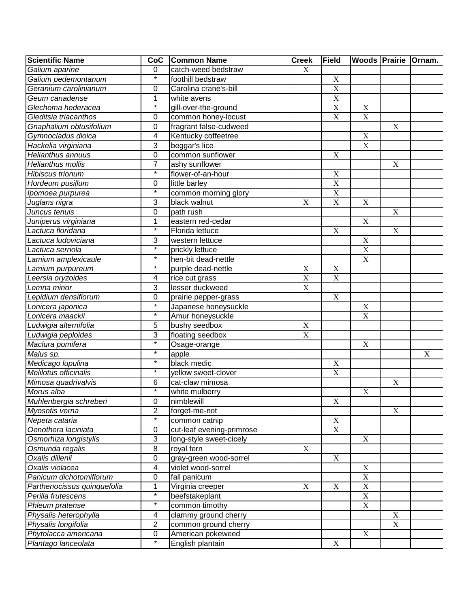| <b>Scientific Name</b>      | <b>CoC</b>     | <b>Common Name</b>        | <b>Creek</b>            | Field                     | <b>Woods Prairie</b>      |                | Ornam.      |
|-----------------------------|----------------|---------------------------|-------------------------|---------------------------|---------------------------|----------------|-------------|
| Galium aparine              | 0              | catch-weed bedstraw       | X                       |                           |                           |                |             |
| Galium pedemontanum         | $\star$        | foothill bedstraw         |                         | $\mathbf X$               |                           |                |             |
| Geranium carolinianum       | $\mathbf 0$    | Carolina crane's-bill     |                         | $\overline{X}$            |                           |                |             |
| Geum canadense              | $\mathbf{1}$   | white avens               |                         | $\overline{\mathrm{X}}$   |                           |                |             |
| Glechoma hederacea          | $\star$        | gill-over-the-ground      |                         | $\mathbf X$               | $\boldsymbol{\mathrm{X}}$ |                |             |
| Gleditsia triacanthos       | $\mathbf 0$    | common honey-locust       |                         | $\overline{X}$            | $\overline{X}$            |                |             |
| Gnaphalium obtusifolium     | $\mathbf 0$    | fragrant false-cudweed    |                         |                           |                           | $\mathbf X$    |             |
| Gymnocladus dioica          | 4              | Kentucky coffeetree       |                         |                           | $\mathbf X$               |                |             |
| Hackelia virginiana         | 3              | beggar's lice             |                         |                           | $\mathbf X$               |                |             |
| <b>Helianthus annuus</b>    | $\overline{0}$ | common sunflower          |                         | $\overline{X}$            |                           |                |             |
| <b>Helianthus mollis</b>    | $\overline{7}$ | ashy sunflower            |                         |                           |                           | $\overline{X}$ |             |
| <b>Hibiscus</b> trionum     | $\ast$         | flower-of-an-hour         |                         | $\overline{\mathrm{X}}$   |                           |                |             |
| Hordeum pusillum            | 0              | little barley             |                         | $\overline{X}$            |                           |                |             |
| Ipomoea purpurea            | $\ast$         | common morning glory      |                         | $\overline{\text{X}}$     |                           |                |             |
| Juglans nigra               | 3              | black walnut              | $\mathbf X$             | $\overline{X}$            | $\mathbf X$               |                |             |
| Juncus tenuis               | $\mathbf 0$    | path rush                 |                         |                           |                           | $\mathbf X$    |             |
| Juniperus virginiana        | $\mathbf{1}$   | eastern red-cedar         |                         |                           | $\mathbf X$               |                |             |
| Lactuca floridana           | $\star$        | Florida lettuce           |                         | X                         |                           | $\mathbf X$    |             |
| Lactuca ludoviciana         | $\mathbf{3}$   | western lettuce           |                         |                           | $\mathbf X$               |                |             |
| Lactuca serriola            | $\star$        | prickly lettuce           |                         |                           | $\mathbf X$               |                |             |
| Lamium amplexicaule         | $\star$        | hen-bit dead-nettle       |                         |                           | $\mathbf X$               |                |             |
| Lamium purpureum            | $\star$        | purple dead-nettle        | $\mathbf X$             | X                         |                           |                |             |
| Leersia oryzoides           | 4              | rice cut grass            | $\mathbf X$             | $\overline{X}$            |                           |                |             |
| Lemna minor                 | 3              | lesser duckweed           | $\mathbf X$             |                           |                           |                |             |
| Lepidium densiflorum        | $\mathbf 0$    | prairie pepper-grass      |                         | $\mathbf X$               |                           |                |             |
| Lonicera japonica           | $\star$        | Japanese honeysuckle      |                         |                           | $\mathbf X$               |                |             |
| Lonicera maackii            | $\star$        | Amur honeysuckle          |                         |                           | $\overline{X}$            |                |             |
| Ludwigia alternifolia       | 5              | bushy seedbox             | $\mathbf X$             |                           |                           |                |             |
| Ludwigia peploides          | 3              | floating seedbox          | $\overline{\mathbf{X}}$ |                           |                           |                |             |
| Maclura pomifera            | $\ast$         | Osage-orange              |                         |                           | $\mathbf X$               |                |             |
| Malus sp.                   | $\star$        | apple                     |                         |                           |                           |                | $\mathbf X$ |
| Medicago Iupulina           | $\star$        | black medic               |                         | $\mathbf X$               |                           |                |             |
| Melilotus officinalis       | $\star$        | yellow sweet-clover       |                         | $\overline{\text{X}}$     |                           |                |             |
| Mimosa quadrivalvis         | 6              | cat-claw mimosa           |                         |                           |                           | $\mathbf X$    |             |
| Morus alba                  | ¥              | white mulberry            |                         |                           | $\overline{X}$            |                |             |
| Muhlenbergia schreberi      | 0              | nimblewill                |                         | X                         |                           |                |             |
| Myosotis verna              | $\overline{2}$ | forget-me-not             |                         |                           |                           | $\mathbf X$    |             |
| Nepeta cataria              | $\star$        | common catnip             |                         | $\boldsymbol{\mathrm{X}}$ |                           |                |             |
| Oenothera laciniata         | $\mathbf 0$    | cut-leaf evening-primrose |                         | $\overline{X}$            |                           |                |             |
| Osmorhiza longistylis       | $\overline{3}$ | long-style sweet-cicely   |                         |                           | X                         |                |             |
| Osmunda regalis             | 8              | royal fern                | X                       |                           |                           |                |             |
| Oxalis dillenii             | $\mathbf 0$    | gray-green wood-sorrel    |                         | X                         |                           |                |             |
| Oxalis violacea             | 4              | violet wood-sorrel        |                         |                           | $\mathbf X$               |                |             |
| Panicum dichotomiflorum     | $\pmb{0}$      | fall panicum              |                         |                           | $\overline{X}$            |                |             |
| Parthenocissus quinquefolia | $\mathbf{1}$   | Virginia creeper          | $\mathbf X$             | $\mathbf X$               | $\overline{X}$            |                |             |
| Perilla frutescens          | $\star$        | beefstakeplant            |                         |                           | $\overline{X}$            |                |             |
| Phleum pratense             | $\star$        | common timothy            |                         |                           | $\mathbf X$               |                |             |
| Physalis heterophylla       | 4              | clammy ground cherry      |                         |                           |                           | $\mathbf X$    |             |
| Physalis longifolia         | $\overline{2}$ | common ground cherry      |                         |                           |                           | $\mathbf X$    |             |
| Phytolacca americana        | $\mathbf 0$    | American pokeweed         |                         |                           | $\mathbf X$               |                |             |
| Plantago lanceolata         | $\star$        | English plantain          |                         | $\mathbf X$               |                           |                |             |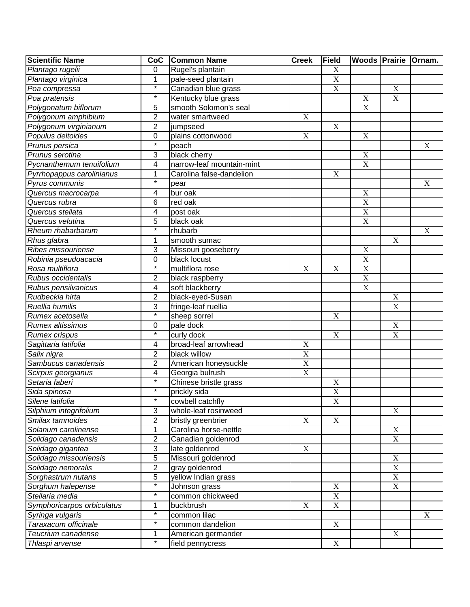| <b>Scientific Name</b>     | <b>CoC</b>     | <b>Common Name</b>        | <b>Creek</b>              | Field                 | <b>Woods Prairie Ornam.</b> |                |             |
|----------------------------|----------------|---------------------------|---------------------------|-----------------------|-----------------------------|----------------|-------------|
| Plantago rugelii           | $\Omega$       | Rugel's plantain          |                           | X                     |                             |                |             |
| Plantago virginica         | 1              | pale-seed plantain        |                           | $\mathbf X$           |                             |                |             |
| Poa compressa              | $\star$        | Canadian blue grass       |                           | $\overline{X}$        |                             | $\mathbf X$    |             |
| Poa pratensis              | $\star$        | Kentucky blue grass       |                           |                       | X                           | $\mathbf X$    |             |
| Polygonatum biflorum       | 5              | smooth Solomon's seal     |                           |                       | $\boldsymbol{\mathrm{X}}$   |                |             |
| Polygonum amphibium        | $\overline{2}$ | water smartweed           | $\mathbf X$               |                       |                             |                |             |
| Polygonum virginianum      | $\overline{2}$ | jumpseed                  |                           | $\mathbf X$           |                             |                |             |
| Populus deltoides          | $\mathbf 0$    | plains cottonwood         | $\mathbf X$               |                       | $\mathbf X$                 |                |             |
| Prunus persica             | $\star$        | peach                     |                           |                       |                             |                | $\mathbf X$ |
| Prunus serotina            | 3              | black cherry              |                           |                       | $\boldsymbol{\mathrm{X}}$   |                |             |
| Pycnanthemum tenuifolium   | 4              | narrow-leaf mountain-mint |                           |                       | $\overline{X}$              |                |             |
| Pyrrhopappus carolinianus  | $\mathbf{1}$   | Carolina false-dandelion  |                           | $\mathbf X$           |                             |                |             |
| Pyrus communis             | $\star$        | pear                      |                           |                       |                             |                | $\mathbf X$ |
| Quercus macrocarpa         | 4              | bur oak                   |                           |                       | $\mathbf X$                 |                |             |
| Quercus rubra              | 6              | red oak                   |                           |                       | X                           |                |             |
| Quercus stellata           | 4              | post oak                  |                           |                       | $\overline{X}$              |                |             |
| Quercus velutina           | 5              | black oak                 |                           |                       | $\mathbf X$                 |                |             |
| Rheum rhabarbarum          | $\star$        | rhubarb                   |                           |                       |                             |                | X           |
| Rhus glabra                | 1              | smooth sumac              |                           |                       |                             | $\mathbf X$    |             |
| Ribes missouriense         | $\mathbf{3}$   | Missouri gooseberry       |                           |                       | $\mathbf X$                 |                |             |
| Robinia pseudoacacia       | $\pmb{0}$      | black locust              |                           |                       | $\mathbf X$                 |                |             |
| Rosa multiflora            | $\star$        | multiflora rose           | $\boldsymbol{\mathrm{X}}$ | X                     | $\boldsymbol{\mathrm{X}}$   |                |             |
| Rubus occidentalis         | $\overline{2}$ | black raspberry           |                           |                       | $\mathbf X$                 |                |             |
| Rubus pensilvanicus        | 4              | soft blackberry           |                           |                       | $\overline{X}$              |                |             |
| Rudbeckia hirta            | $\overline{2}$ | black-eyed-Susan          |                           |                       |                             | $\mathbf X$    |             |
| Ruellia humilis            | 3              | fringe-leaf ruellia       |                           |                       |                             | $\mathbf X$    |             |
| Rumex acetosella           | $\star$        | sheep sorrel              |                           | $\mathbf X$           |                             |                |             |
| Rumex altissimus           | $\mathbf 0$    | pale dock                 |                           |                       |                             | $\overline{X}$ |             |
| Rumex crispus              | $\star$        | curly dock                |                           | $\mathbf X$           |                             | $\mathbf X$    |             |
| Sagittaria latifolia       | 4              | broad-leaf arrowhead      | $\mathbf X$               |                       |                             |                |             |
| Salix nigra                | $\overline{2}$ | black willow              | $\mathbf X$               |                       |                             |                |             |
| Sambucus canadensis        | $\overline{2}$ | American honeysuckle      | $\overline{X}$            |                       |                             |                |             |
| Scirpus georgianus         | 4              | Georgia bulrush           | $\mathbf X$               |                       |                             |                |             |
| Setaria faberi             | $\star$        | Chinese bristle grass     |                           | $\mathbf X$           |                             |                |             |
| Sida spinosa               | $\star$        | prickly sida              |                           | $\overline{X}$        |                             |                |             |
| Silene latifolia           |                | cowbell catchfly          |                           | $\overline{X}$        |                             |                |             |
| Silphium integrifolium     | 3              | whole-leaf rosinweed      |                           |                       |                             | $\mathbf X$    |             |
| Smilax tamnoides           | $\overline{2}$ | bristly greenbrier        | X                         | $\mathbf X$           |                             |                |             |
| Solanum carolinense        | 1              | Carolina horse-nettle     |                           |                       |                             | X              |             |
| Solidago canadensis        | $\overline{2}$ | Canadian goldenrod        |                           |                       |                             | X              |             |
| Solidago gigantea          | 3              | late goldenrod            | X                         |                       |                             |                |             |
| Solidago missouriensis     | 5              | Missouri goldenrod        |                           |                       |                             | $\mathbf X$    |             |
| Solidago nemoralis         | $\overline{2}$ | gray goldenrod            |                           |                       |                             | $\mathbf X$    |             |
| Sorghastrum nutans         | 5              | yellow Indian grass       |                           |                       |                             | $\mathbf X$    |             |
| Sorghum halepense          | $\star$        | Johnson grass             |                           | $\mathbf X$           |                             | $\overline{X}$ |             |
| Stellaria media            | $\star$        | common chickweed          |                           | $\overline{\text{X}}$ |                             |                |             |
| Symphoricarpos orbiculatus | 1              | buckbrush                 | $\boldsymbol{\mathrm{X}}$ | X                     |                             |                |             |
| Syringa vulgaris           | $\star$        | common lilac              |                           |                       |                             |                | X           |
| Taraxacum officinale       | $\star$        | common dandelion          |                           | $\mathbf X$           |                             |                |             |
| Teucrium canadense         | 1              | American germander        |                           |                       |                             | $\mathbf X$    |             |
| Thlaspi arvense            | $\star$        | field pennycress          |                           | $\mathbf X$           |                             |                |             |